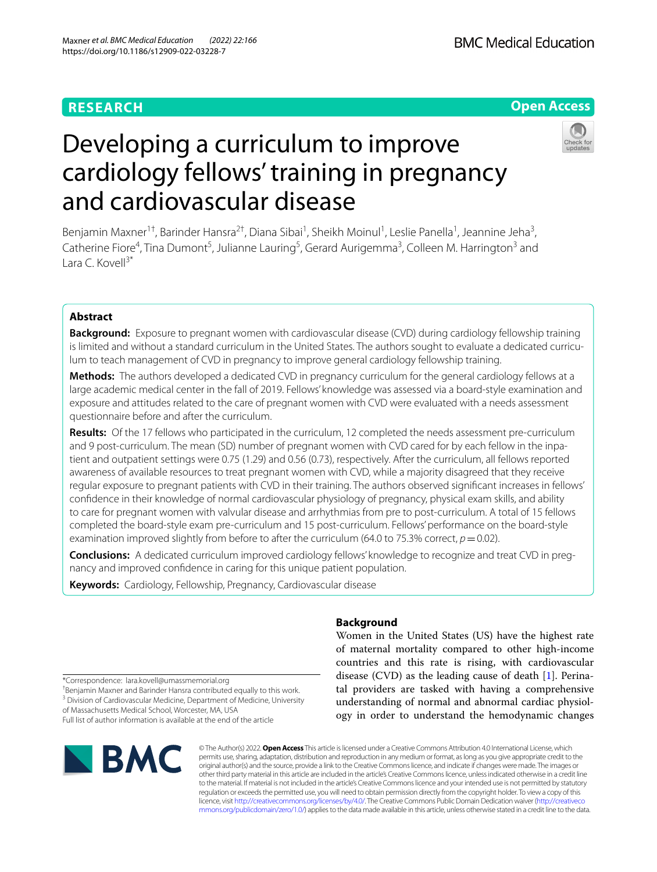# **RESEARCH**

# **Open Access**



# Developing a curriculum to improve cardiology fellows' training in pregnancy and cardiovascular disease

Benjamin Maxner<sup>1†</sup>, Barinder Hansra<sup>2†</sup>, Diana Sibai<sup>1</sup>, Sheikh Moinul<sup>1</sup>, Leslie Panella<sup>1</sup>, Jeannine Jeha<sup>3</sup>, Catherine Fiore<sup>4</sup>, Tina Dumont<sup>5</sup>, Julianne Lauring<sup>5</sup>, Gerard Aurigemma<sup>3</sup>, Colleen M. Harrington<sup>3</sup> and Lara C. Kovell $3^*$ 

# **Abstract**

**Background:** Exposure to pregnant women with cardiovascular disease (CVD) during cardiology fellowship training is limited and without a standard curriculum in the United States. The authors sought to evaluate a dedicated curriculum to teach management of CVD in pregnancy to improve general cardiology fellowship training.

**Methods:** The authors developed a dedicated CVD in pregnancy curriculum for the general cardiology fellows at a large academic medical center in the fall of 2019. Fellows' knowledge was assessed via a board-style examination and exposure and attitudes related to the care of pregnant women with CVD were evaluated with a needs assessment questionnaire before and after the curriculum.

**Results:** Of the 17 fellows who participated in the curriculum, 12 completed the needs assessment pre-curriculum and 9 post-curriculum. The mean (SD) number of pregnant women with CVD cared for by each fellow in the inpatient and outpatient settings were 0.75 (1.29) and 0.56 (0.73), respectively. After the curriculum, all fellows reported awareness of available resources to treat pregnant women with CVD, while a majority disagreed that they receive regular exposure to pregnant patients with CVD in their training. The authors observed signifcant increases in fellows' confdence in their knowledge of normal cardiovascular physiology of pregnancy, physical exam skills, and ability to care for pregnant women with valvular disease and arrhythmias from pre to post-curriculum. A total of 15 fellows completed the board-style exam pre-curriculum and 15 post-curriculum. Fellows' performance on the board-style examination improved slightly from before to after the curriculum (64.0 to 75.3% correct,  $p = 0.02$ ).

**Conclusions:** A dedicated curriculum improved cardiology fellows' knowledge to recognize and treat CVD in pregnancy and improved confdence in caring for this unique patient population.

**Keywords:** Cardiology, Fellowship, Pregnancy, Cardiovascular disease

# **Background**

Women in the United States (US) have the highest rate of maternal mortality compared to other high-income countries and this rate is rising, with cardiovascular disease (CVD) as the leading cause of death [\[1](#page-6-0)]. Perinatal providers are tasked with having a comprehensive understanding of normal and abnormal cardiac physiology in order to understand the hemodynamic changes

\*Correspondence: lara.kovell@umassmemorial.org

† Benjamin Maxner and Barinder Hansra contributed equally to this work. <sup>3</sup> Division of Cardiovascular Medicine, Department of Medicine, University of Massachusetts Medical School, Worcester, MA, USA Full list of author information is available at the end of the article



© The Author(s) 2022. **Open Access** This article is licensed under a Creative Commons Attribution 4.0 International License, which permits use, sharing, adaptation, distribution and reproduction in any medium or format, as long as you give appropriate credit to the original author(s) and the source, provide a link to the Creative Commons licence, and indicate if changes were made. The images or other third party material in this article are included in the article's Creative Commons licence, unless indicated otherwise in a credit line to the material. If material is not included in the article's Creative Commons licence and your intended use is not permitted by statutory regulation or exceeds the permitted use, you will need to obtain permission directly from the copyright holder. To view a copy of this licence, visit [http://creativecommons.org/licenses/by/4.0/.](http://creativecommons.org/licenses/by/4.0/) The Creative Commons Public Domain Dedication waiver ([http://creativeco](http://creativecommons.org/publicdomain/zero/1.0/) [mmons.org/publicdomain/zero/1.0/](http://creativecommons.org/publicdomain/zero/1.0/)) applies to the data made available in this article, unless otherwise stated in a credit line to the data.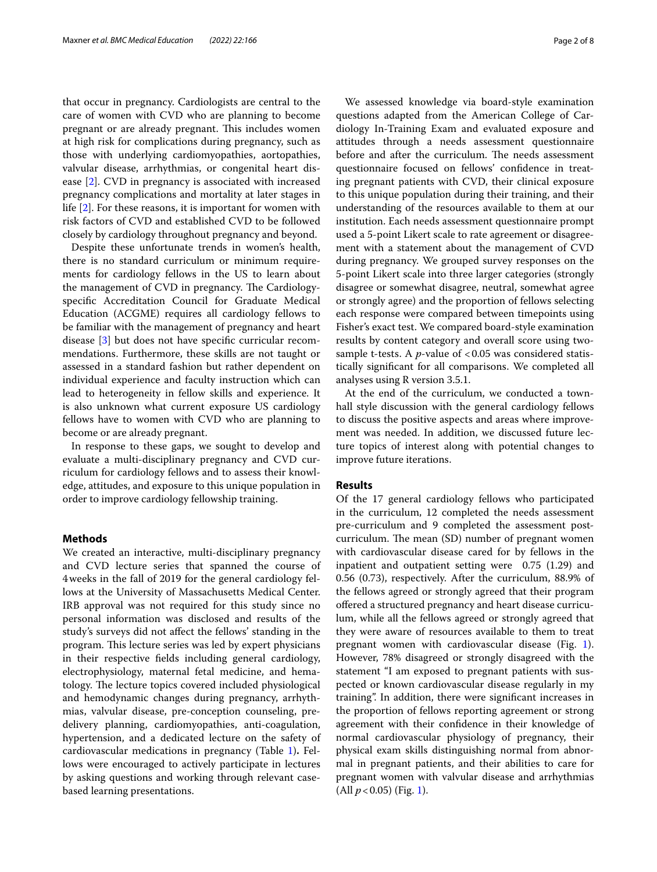that occur in pregnancy. Cardiologists are central to the care of women with CVD who are planning to become pregnant or are already pregnant. This includes women at high risk for complications during pregnancy, such as those with underlying cardiomyopathies, aortopathies, valvular disease, arrhythmias, or congenital heart disease [\[2](#page-6-1)]. CVD in pregnancy is associated with increased pregnancy complications and mortality at later stages in life [[2\]](#page-6-1). For these reasons, it is important for women with risk factors of CVD and established CVD to be followed closely by cardiology throughout pregnancy and beyond.

Despite these unfortunate trends in women's health, there is no standard curriculum or minimum requirements for cardiology fellows in the US to learn about the management of CVD in pregnancy. The Cardiologyspecifc Accreditation Council for Graduate Medical Education (ACGME) requires all cardiology fellows to be familiar with the management of pregnancy and heart disease [[3](#page-6-2)] but does not have specifc curricular recommendations. Furthermore, these skills are not taught or assessed in a standard fashion but rather dependent on individual experience and faculty instruction which can lead to heterogeneity in fellow skills and experience. It is also unknown what current exposure US cardiology fellows have to women with CVD who are planning to become or are already pregnant.

In response to these gaps, we sought to develop and evaluate a multi-disciplinary pregnancy and CVD curriculum for cardiology fellows and to assess their knowledge, attitudes, and exposure to this unique population in order to improve cardiology fellowship training.

## **Methods**

We created an interactive, multi-disciplinary pregnancy and CVD lecture series that spanned the course of 4weeks in the fall of 2019 for the general cardiology fellows at the University of Massachusetts Medical Center. IRB approval was not required for this study since no personal information was disclosed and results of the study's surveys did not afect the fellows' standing in the program. This lecture series was led by expert physicians in their respective felds including general cardiology, electrophysiology, maternal fetal medicine, and hematology. The lecture topics covered included physiological and hemodynamic changes during pregnancy, arrhythmias, valvular disease, pre-conception counseling, predelivery planning, cardiomyopathies, anti-coagulation, hypertension, and a dedicated lecture on the safety of cardiovascular medications in pregnancy (Table [1\)](#page-2-0)**.** Fellows were encouraged to actively participate in lectures by asking questions and working through relevant casebased learning presentations.

We assessed knowledge via board-style examination questions adapted from the American College of Cardiology In-Training Exam and evaluated exposure and attitudes through a needs assessment questionnaire before and after the curriculum. The needs assessment questionnaire focused on fellows' confdence in treating pregnant patients with CVD, their clinical exposure to this unique population during their training, and their understanding of the resources available to them at our institution. Each needs assessment questionnaire prompt used a 5-point Likert scale to rate agreement or disagreement with a statement about the management of CVD during pregnancy. We grouped survey responses on the 5-point Likert scale into three larger categories (strongly disagree or somewhat disagree, neutral, somewhat agree or strongly agree) and the proportion of fellows selecting each response were compared between timepoints using Fisher's exact test. We compared board-style examination results by content category and overall score using twosample t-tests. A *p*-value of <0.05 was considered statistically signifcant for all comparisons. We completed all analyses using R version 3.5.1.

At the end of the curriculum, we conducted a townhall style discussion with the general cardiology fellows to discuss the positive aspects and areas where improvement was needed. In addition, we discussed future lecture topics of interest along with potential changes to improve future iterations.

# **Results**

Of the 17 general cardiology fellows who participated in the curriculum, 12 completed the needs assessment pre-curriculum and 9 completed the assessment postcurriculum. The mean (SD) number of pregnant women with cardiovascular disease cared for by fellows in the inpatient and outpatient setting were 0.75 (1.29) and 0.56 (0.73), respectively. After the curriculum, 88.9% of the fellows agreed or strongly agreed that their program ofered a structured pregnancy and heart disease curriculum, while all the fellows agreed or strongly agreed that they were aware of resources available to them to treat pregnant women with cardiovascular disease (Fig. [1](#page-3-0)). However, 78% disagreed or strongly disagreed with the statement "I am exposed to pregnant patients with suspected or known cardiovascular disease regularly in my training". In addition, there were signifcant increases in the proportion of fellows reporting agreement or strong agreement with their confdence in their knowledge of normal cardiovascular physiology of pregnancy, their physical exam skills distinguishing normal from abnormal in pregnant patients, and their abilities to care for pregnant women with valvular disease and arrhythmias (All  $p < 0.05$ ) (Fig. [1](#page-3-0)).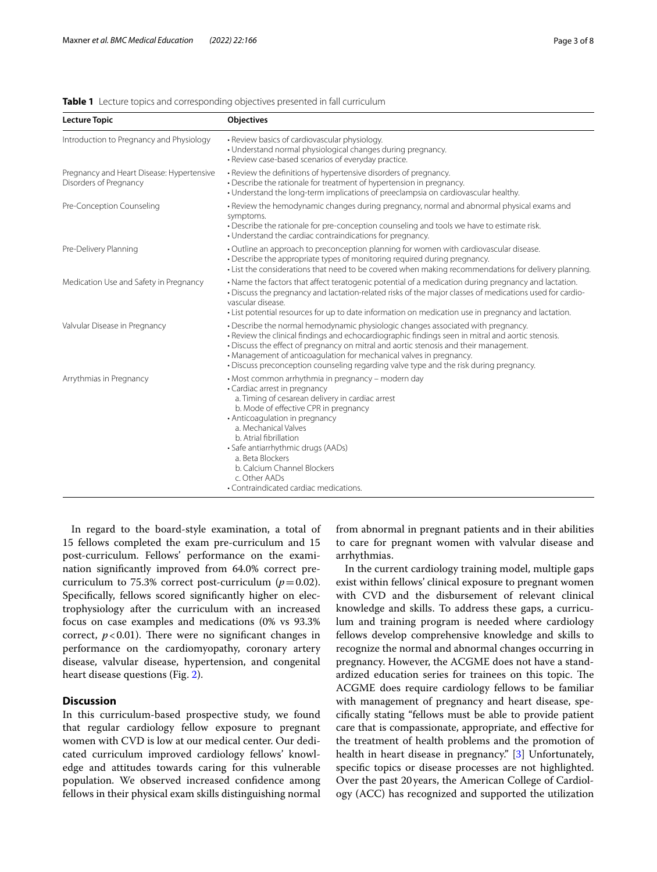#### <span id="page-2-0"></span>**Table 1** Lecture topics and corresponding objectives presented in fall curriculum

| <b>Lecture Topic</b>                                                | Objectives                                                                                                                                                                                                                                                                                                                                                                                                                                      |
|---------------------------------------------------------------------|-------------------------------------------------------------------------------------------------------------------------------------------------------------------------------------------------------------------------------------------------------------------------------------------------------------------------------------------------------------------------------------------------------------------------------------------------|
| Introduction to Pregnancy and Physiology                            | • Review basics of cardiovascular physiology.<br>• Understand normal physiological changes during pregnancy.<br>· Review case-based scenarios of everyday practice.                                                                                                                                                                                                                                                                             |
| Pregnancy and Heart Disease: Hypertensive<br>Disorders of Pregnancy | • Review the definitions of hypertensive disorders of pregnancy.<br>• Describe the rationale for treatment of hypertension in pregnancy.<br>• Understand the long-term implications of preeclampsia on cardiovascular healthy.                                                                                                                                                                                                                  |
| Pre-Conception Counseling                                           | • Review the hemodynamic changes during pregnancy, normal and abnormal physical exams and<br>symptoms.<br>. Describe the rationale for pre-conception counseling and tools we have to estimate risk.<br>• Understand the cardiac contraindications for pregnancy.                                                                                                                                                                               |
| Pre-Delivery Planning                                               | • Outline an approach to preconception planning for women with cardiovascular disease.<br>. Describe the appropriate types of monitoring required during pregnancy.<br>• List the considerations that need to be covered when making recommendations for delivery planning.                                                                                                                                                                     |
| Medication Use and Safety in Pregnancy                              | • Name the factors that affect teratogenic potential of a medication during pregnancy and lactation.<br>. Discuss the pregnancy and lactation-related risks of the major classes of medications used for cardio-<br>vascular disease.<br>• List potential resources for up to date information on medication use in pregnancy and lactation.                                                                                                    |
| Valvular Disease in Pregnancy                                       | • Describe the normal hemodynamic physiologic changes associated with pregnancy.<br>• Review the clinical findings and echocardiographic findings seen in mitral and aortic stenosis.<br>. Discuss the effect of pregnancy on mitral and aortic stenosis and their management.<br>• Management of anticoagulation for mechanical valves in pregnancy.<br>. Discuss preconception counseling regarding valve type and the risk during pregnancy. |
| Arrythmias in Pregnancy                                             | • Most common arrhythmia in pregnancy – modern day<br>• Cardiac arrest in pregnancy<br>a. Timing of cesarean delivery in cardiac arrest<br>b. Mode of effective CPR in pregnancy<br>• Anticoagulation in pregnancy<br>a. Mechanical Valves<br>b. Atrial fibrillation<br>· Safe antiarrhythmic drugs (AADs)<br>a. Beta Blockers<br>b. Calcium Channel Blockers<br>c. Other AADs<br>• Contraindicated cardiac medications.                        |

In regard to the board-style examination, a total of 15 fellows completed the exam pre-curriculum and 15 post-curriculum. Fellows' performance on the examination signifcantly improved from 64.0% correct precurriculum to 75.3% correct post-curriculum ( $p=0.02$ ). Specifcally, fellows scored signifcantly higher on electrophysiology after the curriculum with an increased focus on case examples and medications (0% vs 93.3% correct,  $p < 0.01$ ). There were no significant changes in performance on the cardiomyopathy, coronary artery disease, valvular disease, hypertension, and congenital heart disease questions (Fig. [2\)](#page-4-0).

# **Discussion**

In this curriculum-based prospective study, we found that regular cardiology fellow exposure to pregnant women with CVD is low at our medical center. Our dedicated curriculum improved cardiology fellows' knowledge and attitudes towards caring for this vulnerable population. We observed increased confdence among fellows in their physical exam skills distinguishing normal from abnormal in pregnant patients and in their abilities to care for pregnant women with valvular disease and arrhythmias.

In the current cardiology training model, multiple gaps exist within fellows' clinical exposure to pregnant women with CVD and the disbursement of relevant clinical knowledge and skills. To address these gaps, a curriculum and training program is needed where cardiology fellows develop comprehensive knowledge and skills to recognize the normal and abnormal changes occurring in pregnancy. However, the ACGME does not have a standardized education series for trainees on this topic. The ACGME does require cardiology fellows to be familiar with management of pregnancy and heart disease, specifcally stating "fellows must be able to provide patient care that is compassionate, appropriate, and efective for the treatment of health problems and the promotion of health in heart disease in pregnancy." [[3\]](#page-6-2) Unfortunately, specifc topics or disease processes are not highlighted. Over the past 20 years, the American College of Cardiology (ACC) has recognized and supported the utilization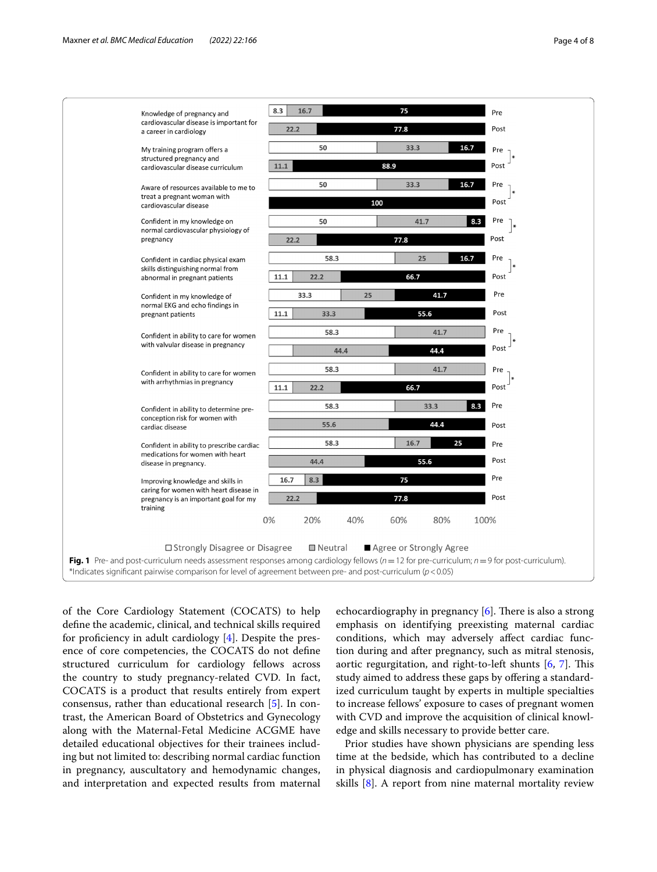

<span id="page-3-0"></span>of the Core Cardiology Statement (COCATS) to help defne the academic, clinical, and technical skills required for proficiency in adult cardiology  $[4]$  $[4]$ . Despite the presence of core competencies, the COCATS do not defne structured curriculum for cardiology fellows across the country to study pregnancy-related CVD. In fact, COCATS is a product that results entirely from expert consensus, rather than educational research [\[5](#page-6-4)]. In contrast, the American Board of Obstetrics and Gynecology along with the Maternal-Fetal Medicine ACGME have detailed educational objectives for their trainees including but not limited to: describing normal cardiac function in pregnancy, auscultatory and hemodynamic changes, and interpretation and expected results from maternal echocardiography in pregnancy  $[6]$  $[6]$  $[6]$ . There is also a strong emphasis on identifying preexisting maternal cardiac conditions, which may adversely afect cardiac function during and after pregnancy, such as mitral stenosis, aortic regurgitation, and right-to-left shunts  $[6, 7]$  $[6, 7]$  $[6, 7]$  $[6, 7]$ . This study aimed to address these gaps by offering a standardized curriculum taught by experts in multiple specialties to increase fellows' exposure to cases of pregnant women with CVD and improve the acquisition of clinical knowledge and skills necessary to provide better care.

Prior studies have shown physicians are spending less time at the bedside, which has contributed to a decline in physical diagnosis and cardiopulmonary examination skills [[8\]](#page-6-7). A report from nine maternal mortality review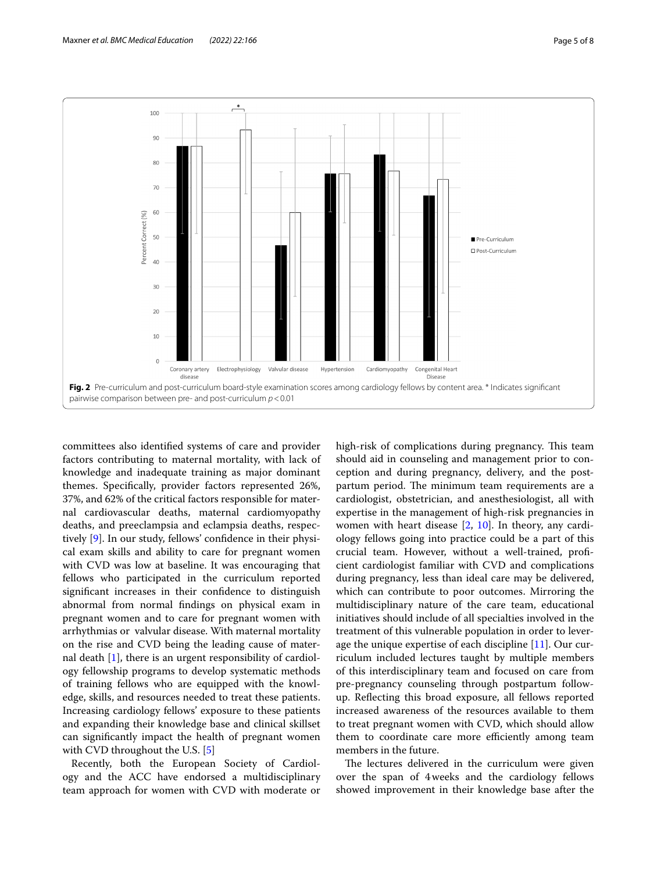

<span id="page-4-0"></span>committees also identifed systems of care and provider factors contributing to maternal mortality, with lack of knowledge and inadequate training as major dominant themes. Specifcally, provider factors represented 26%, 37%, and 62% of the critical factors responsible for maternal cardiovascular deaths, maternal cardiomyopathy deaths, and preeclampsia and eclampsia deaths, respectively [\[9](#page-6-8)]. In our study, fellows' confdence in their physical exam skills and ability to care for pregnant women with CVD was low at baseline. It was encouraging that fellows who participated in the curriculum reported signifcant increases in their confdence to distinguish abnormal from normal fndings on physical exam in pregnant women and to care for pregnant women with arrhythmias or valvular disease. With maternal mortality on the rise and CVD being the leading cause of maternal death [[1\]](#page-6-0), there is an urgent responsibility of cardiology fellowship programs to develop systematic methods of training fellows who are equipped with the knowledge, skills, and resources needed to treat these patients. Increasing cardiology fellows' exposure to these patients and expanding their knowledge base and clinical skillset can signifcantly impact the health of pregnant women with CVD throughout the U.S. [[5\]](#page-6-4)

Recently, both the European Society of Cardiology and the ACC have endorsed a multidisciplinary team approach for women with CVD with moderate or high-risk of complications during pregnancy. This team should aid in counseling and management prior to conception and during pregnancy, delivery, and the postpartum period. The minimum team requirements are a cardiologist, obstetrician, and anesthesiologist, all with expertise in the management of high-risk pregnancies in women with heart disease [[2,](#page-6-1) [10\]](#page-6-9). In theory, any cardiology fellows going into practice could be a part of this crucial team. However, without a well-trained, profcient cardiologist familiar with CVD and complications during pregnancy, less than ideal care may be delivered, which can contribute to poor outcomes. Mirroring the multidisciplinary nature of the care team, educational initiatives should include of all specialties involved in the treatment of this vulnerable population in order to leverage the unique expertise of each discipline [\[11](#page-6-10)]. Our curriculum included lectures taught by multiple members of this interdisciplinary team and focused on care from pre-pregnancy counseling through postpartum followup. Refecting this broad exposure, all fellows reported increased awareness of the resources available to them to treat pregnant women with CVD, which should allow them to coordinate care more efficiently among team members in the future.

The lectures delivered in the curriculum were given over the span of 4weeks and the cardiology fellows showed improvement in their knowledge base after the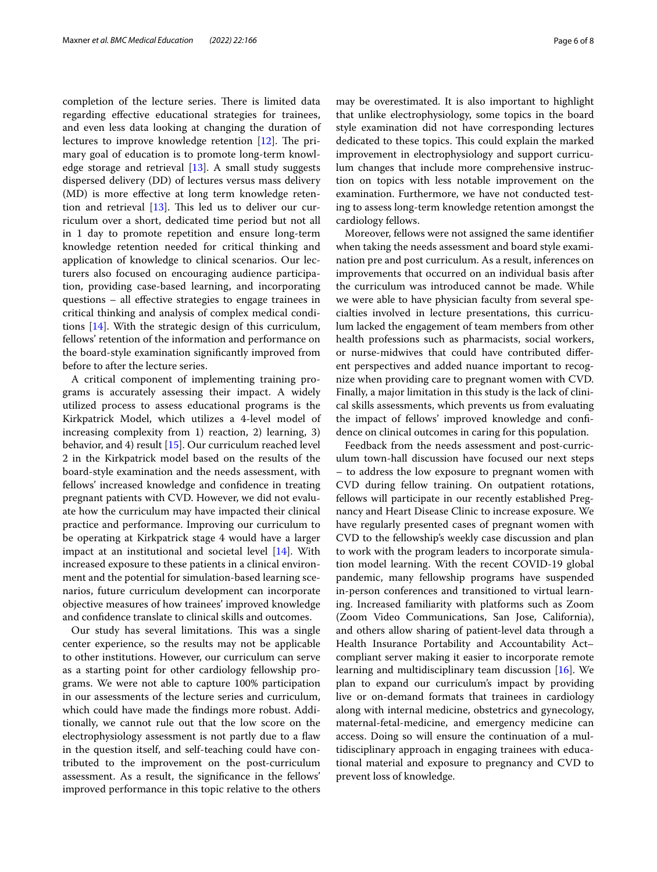completion of the lecture series. There is limited data regarding efective educational strategies for trainees, and even less data looking at changing the duration of lectures to improve knowledge retention  $[12]$  $[12]$ . The primary goal of education is to promote long-term knowledge storage and retrieval  $[13]$  $[13]$ . A small study suggests dispersed delivery (DD) of lectures versus mass delivery (MD) is more efective at long term knowledge retention and retrieval  $[13]$  $[13]$ . This led us to deliver our curriculum over a short, dedicated time period but not all in 1 day to promote repetition and ensure long-term knowledge retention needed for critical thinking and application of knowledge to clinical scenarios. Our lecturers also focused on encouraging audience participation, providing case-based learning, and incorporating questions – all efective strategies to engage trainees in critical thinking and analysis of complex medical conditions [[14\]](#page-6-13). With the strategic design of this curriculum, fellows' retention of the information and performance on the board-style examination signifcantly improved from before to after the lecture series.

A critical component of implementing training programs is accurately assessing their impact. A widely utilized process to assess educational programs is the Kirkpatrick Model, which utilizes a 4-level model of increasing complexity from 1) reaction, 2) learning, 3) behavior, and 4) result [\[15](#page-7-0)]. Our curriculum reached level 2 in the Kirkpatrick model based on the results of the board-style examination and the needs assessment, with fellows' increased knowledge and confdence in treating pregnant patients with CVD. However, we did not evaluate how the curriculum may have impacted their clinical practice and performance. Improving our curriculum to be operating at Kirkpatrick stage 4 would have a larger impact at an institutional and societal level [\[14](#page-6-13)]. With increased exposure to these patients in a clinical environment and the potential for simulation-based learning scenarios, future curriculum development can incorporate objective measures of how trainees' improved knowledge and confdence translate to clinical skills and outcomes.

Our study has several limitations. This was a single center experience, so the results may not be applicable to other institutions. However, our curriculum can serve as a starting point for other cardiology fellowship programs. We were not able to capture 100% participation in our assessments of the lecture series and curriculum, which could have made the fndings more robust. Additionally, we cannot rule out that the low score on the electrophysiology assessment is not partly due to a flaw in the question itself, and self-teaching could have contributed to the improvement on the post-curriculum assessment. As a result, the signifcance in the fellows' improved performance in this topic relative to the others may be overestimated. It is also important to highlight that unlike electrophysiology, some topics in the board style examination did not have corresponding lectures dedicated to these topics. This could explain the marked improvement in electrophysiology and support curriculum changes that include more comprehensive instruction on topics with less notable improvement on the examination. Furthermore, we have not conducted testing to assess long-term knowledge retention amongst the cardiology fellows.

Moreover, fellows were not assigned the same identifer when taking the needs assessment and board style examination pre and post curriculum. As a result, inferences on improvements that occurred on an individual basis after the curriculum was introduced cannot be made. While we were able to have physician faculty from several specialties involved in lecture presentations, this curriculum lacked the engagement of team members from other health professions such as pharmacists, social workers, or nurse-midwives that could have contributed diferent perspectives and added nuance important to recognize when providing care to pregnant women with CVD. Finally, a major limitation in this study is the lack of clinical skills assessments, which prevents us from evaluating the impact of fellows' improved knowledge and confdence on clinical outcomes in caring for this population.

Feedback from the needs assessment and post-curriculum town-hall discussion have focused our next steps – to address the low exposure to pregnant women with CVD during fellow training. On outpatient rotations, fellows will participate in our recently established Pregnancy and Heart Disease Clinic to increase exposure. We have regularly presented cases of pregnant women with CVD to the fellowship's weekly case discussion and plan to work with the program leaders to incorporate simulation model learning. With the recent COVID-19 global pandemic, many fellowship programs have suspended in-person conferences and transitioned to virtual learning. Increased familiarity with platforms such as Zoom (Zoom Video Communications, San Jose, California), and others allow sharing of patient-level data through a Health Insurance Portability and Accountability Act– compliant server making it easier to incorporate remote learning and multidisciplinary team discussion [\[16](#page-7-1)]. We plan to expand our curriculum's impact by providing live or on-demand formats that trainees in cardiology along with internal medicine, obstetrics and gynecology, maternal-fetal-medicine, and emergency medicine can access. Doing so will ensure the continuation of a multidisciplinary approach in engaging trainees with educational material and exposure to pregnancy and CVD to prevent loss of knowledge.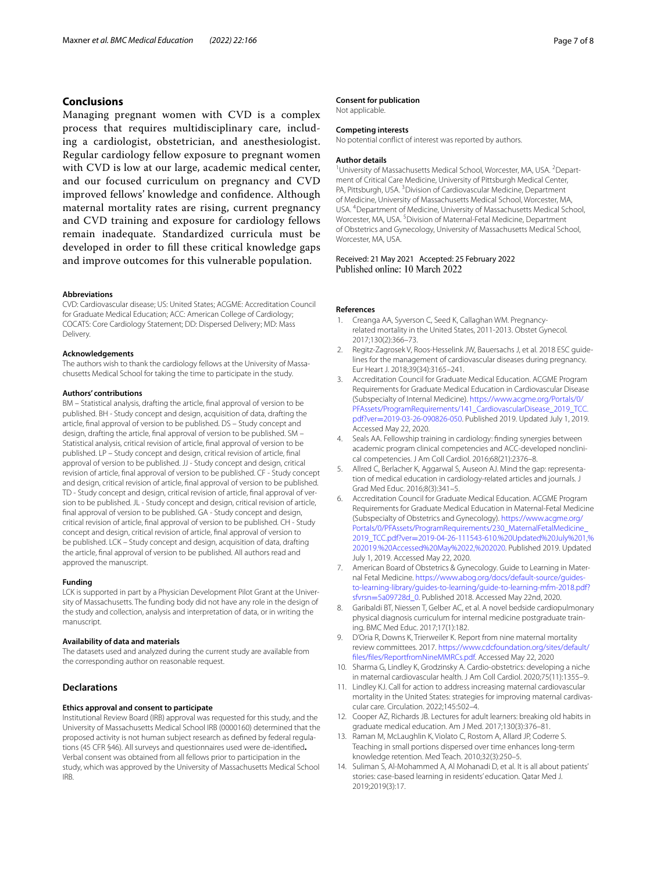## **Conclusions**

Managing pregnant women with CVD is a complex process that requires multidisciplinary care, including a cardiologist, obstetrician, and anesthesiologist. Regular cardiology fellow exposure to pregnant women with CVD is low at our large, academic medical center, and our focused curriculum on pregnancy and CVD improved fellows' knowledge and confdence. Although maternal mortality rates are rising, current pregnancy and CVD training and exposure for cardiology fellows remain inadequate. Standardized curricula must be developed in order to fll these critical knowledge gaps and improve outcomes for this vulnerable population.

#### **Abbreviations**

CVD: Cardiovascular disease; US: United States; ACGME: Accreditation Council for Graduate Medical Education; ACC: American College of Cardiology; COCATS: Core Cardiology Statement; DD: Dispersed Delivery; MD: Mass Delivery.

#### **Acknowledgements**

The authors wish to thank the cardiology fellows at the University of Massachusetts Medical School for taking the time to participate in the study.

#### **Authors' contributions**

BM – Statistical analysis, drafting the article, fnal approval of version to be published. BH - Study concept and design, acquisition of data, drafting the article, fnal approval of version to be published. DS – Study concept and design, drafting the article, fnal approval of version to be published. SM – Statistical analysis, critical revision of article, fnal approval of version to be published. LP – Study concept and design, critical revision of article, fnal approval of version to be published. JJ - Study concept and design, critical revision of article, fnal approval of version to be published. CF - Study concept and design, critical revision of article, fnal approval of version to be published. TD - Study concept and design, critical revision of article, fnal approval of version to be published. JL - Study concept and design, critical revision of article, fnal approval of version to be published. GA - Study concept and design, critical revision of article, fnal approval of version to be published. CH - Study concept and design, critical revision of article, fnal approval of version to be published. LCK – Study concept and design, acquisition of data, drafting the article, fnal approval of version to be published. All authors read and approved the manuscript.

#### **Funding**

LCK is supported in part by a Physician Development Pilot Grant at the University of Massachusetts. The funding body did not have any role in the design of the study and collection, analysis and interpretation of data, or in writing the manuscript.

## **Availability of data and materials**

The datasets used and analyzed during the current study are available from the corresponding author on reasonable request.

## **Declarations**

#### **Ethics approval and consent to participate**

Institutional Review Board (IRB) approval was requested for this study, and the University of Massachusetts Medical School IRB (0000160) determined that the proposed activity is not human subject research as defned by federal regulations (45 CFR §46). All surveys and questionnaires used were de-identifed**.** Verbal consent was obtained from all fellows prior to participation in the study, which was approved by the University of Massachusetts Medical School IRB.

#### **Consent for publication**

Not applicable.

## **Competing interests**

No potential confict of interest was reported by authors.

#### **Author details**

<sup>1</sup> University of Massachusetts Medical School, Worcester, MA, USA. <sup>2</sup> Department of Critical Care Medicine, University of Pittsburgh Medical Center, PA, Pittsburgh, USA.<sup>3</sup> Division of Cardiovascular Medicine, Department of Medicine, University of Massachusetts Medical School, Worcester, MA, USA. 4 Department of Medicine, University of Massachusetts Medical School, Worcester, MA, USA.<sup>5</sup> Division of Maternal-Fetal Medicine, Department of Obstetrics and Gynecology, University of Massachusetts Medical School, Worcester, MA, USA.

Received: 21 May 2021 Accepted: 25 February 2022 Published online: 10 March 2022

#### **References**

- <span id="page-6-0"></span>1. Creanga AA, Syverson C, Seed K, Callaghan WM. Pregnancyrelated mortality in the United States, 2011-2013. Obstet Gynecol. 2017;130(2):366–73.
- <span id="page-6-1"></span>2. Regitz-Zagrosek V, Roos-Hesselink JW, Bauersachs J, et al. 2018 ESC guidelines for the management of cardiovascular diseases during pregnancy. Eur Heart J. 2018;39(34):3165–241.
- <span id="page-6-2"></span>3. Accreditation Council for Graduate Medical Education. ACGME Program Requirements for Graduate Medical Education in Cardiovascular Disease (Subspecialty of Internal Medicine). [https://www.acgme.org/Portals/0/](https://www.acgme.org/Portals/0/PFAssets/ProgramRequirements/141_CardiovascularDisease_2019_TCC.pdf?ver=2019-03-26-090826-050) [PFAssets/ProgramRequirements/141\\_CardiovascularDisease\\_2019\\_TCC.](https://www.acgme.org/Portals/0/PFAssets/ProgramRequirements/141_CardiovascularDisease_2019_TCC.pdf?ver=2019-03-26-090826-050) pdf?ver=[2019-03-26-090826-050.](https://www.acgme.org/Portals/0/PFAssets/ProgramRequirements/141_CardiovascularDisease_2019_TCC.pdf?ver=2019-03-26-090826-050) Published 2019. Updated July 1, 2019. Accessed May 22, 2020.
- <span id="page-6-3"></span>4. Seals AA. Fellowship training in cardiology: fnding synergies between academic program clinical competencies and ACC-developed nonclinical competencies. J Am Coll Cardiol. 2016;68(21):2376–8.
- <span id="page-6-4"></span>5. Allred C, Berlacher K, Aggarwal S, Auseon AJ. Mind the gap: representation of medical education in cardiology-related articles and journals. J Grad Med Educ. 2016;8(3):341–5.
- <span id="page-6-5"></span>6. Accreditation Council for Graduate Medical Education. ACGME Program Requirements for Graduate Medical Education in Maternal-Fetal Medicine (Subspecialty of Obstetrics and Gynecology). [https://www.acgme.org/](https://www.acgme.org/Portals/0/PFAssets/ProgramRequirements/230_MaternalFetalMedicine_2019_TCC.pdf?ver=2019-04-26-111543-610.%20Updated%20July%201,%202019.%20Accessed%20May%2022,%202020) [Portals/0/PFAssets/ProgramRequirements/230\\_MaternalFetalMedicine\\_](https://www.acgme.org/Portals/0/PFAssets/ProgramRequirements/230_MaternalFetalMedicine_2019_TCC.pdf?ver=2019-04-26-111543-610.%20Updated%20July%201,%202019.%20Accessed%20May%2022,%202020) 2019\_TCC.pdf?ver=[2019-04-26-111543-610.%20Updated%20July%201,%](https://www.acgme.org/Portals/0/PFAssets/ProgramRequirements/230_MaternalFetalMedicine_2019_TCC.pdf?ver=2019-04-26-111543-610.%20Updated%20July%201,%202019.%20Accessed%20May%2022,%202020) [202019.%20Accessed%20May%2022,%202020](https://www.acgme.org/Portals/0/PFAssets/ProgramRequirements/230_MaternalFetalMedicine_2019_TCC.pdf?ver=2019-04-26-111543-610.%20Updated%20July%201,%202019.%20Accessed%20May%2022,%202020). Published 2019. Updated July 1, 2019. Accessed May 22, 2020.
- <span id="page-6-6"></span>7. American Board of Obstetrics & Gynecology. Guide to Learning in Maternal Fetal Medicine. [https://www.abog.org/docs/default-source/guides](https://www.abog.org/docs/default-source/guides-to-learning-library/guides-to-learning/guide-to-learning-mfm-2018.pdf?sfvrsn=5a09728d_0)[to-learning-library/guides-to-learning/guide-to-learning-mfm-2018.pdf?](https://www.abog.org/docs/default-source/guides-to-learning-library/guides-to-learning/guide-to-learning-mfm-2018.pdf?sfvrsn=5a09728d_0) sfvrsn=[5a09728d\\_0.](https://www.abog.org/docs/default-source/guides-to-learning-library/guides-to-learning/guide-to-learning-mfm-2018.pdf?sfvrsn=5a09728d_0) Published 2018. Accessed May 22nd, 2020.
- <span id="page-6-7"></span>8. Garibaldi BT, Niessen T, Gelber AC, et al. A novel bedside cardiopulmonary physical diagnosis curriculum for internal medicine postgraduate training. BMC Med Educ. 2017;17(1):182.
- <span id="page-6-8"></span>D'Oria R, Downs K, Trierweiler K. Report from nine maternal mortality review committees. 2017. [https://www.cdcfoundation.org/sites/default/](https://www.cdcfoundation.org/sites/default/files/files/ReportfromNineMMRCs.pdf) [fles/fles/ReportfromNineMMRCs.pdf.](https://www.cdcfoundation.org/sites/default/files/files/ReportfromNineMMRCs.pdf) Accessed May 22, 2020
- <span id="page-6-9"></span>10. Sharma G, Lindley K, Grodzinsky A. Cardio-obstetrics: developing a niche in maternal cardiovascular health. J Am Coll Cardiol. 2020;75(11):1355–9.
- <span id="page-6-10"></span>11. Lindley KJ. Call for action to address increasing maternal cardiovascular mortality in the United States: strategies for improving maternal cardivascular care. Circulation. 2022;145:502–4.
- <span id="page-6-11"></span>12. Cooper AZ, Richards JB. Lectures for adult learners: breaking old habits in graduate medical education. Am J Med. 2017;130(3):376–81.
- <span id="page-6-12"></span>13. Raman M, McLaughlin K, Violato C, Rostom A, Allard JP, Coderre S. Teaching in small portions dispersed over time enhances long-term knowledge retention. Med Teach. 2010;32(3):250–5.
- <span id="page-6-13"></span>14. Suliman S, Al-Mohammed A, Al Mohanadi D, et al. It is all about patients' stories: case-based learning in residents' education. Qatar Med J. 2019;2019(3):17.